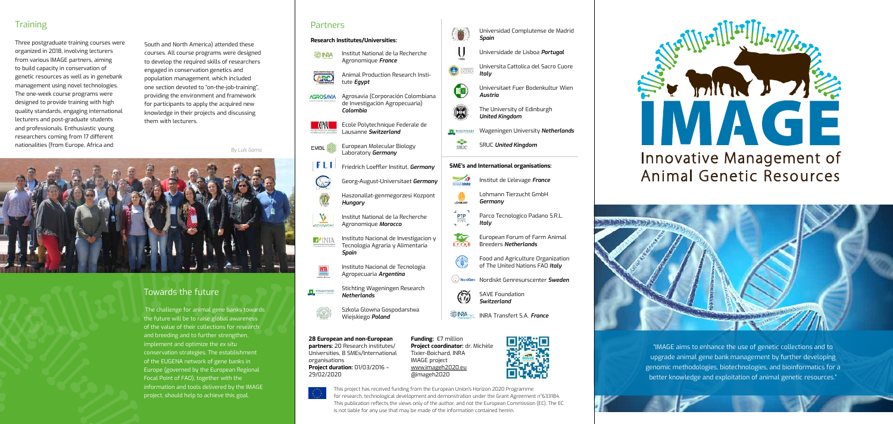"IMAGE aims to enhance the use of genetic collections and to upgrade animal gene bank management by further developing genomic methodologies, biotechnologies, and bioinformatics for a better knowledge and exploitation of animal genetic resources."

#### **Training**

Three postgraduate training courses were organized in 2018, involving lecturers from various IMAGE partners, aiming to build capacity in conservation of genetic resources as well as in genebank management using novel technologies. The one-week course programs were designed to provide training with high quality standards, engaging international lecturers and post-graduate students and professionals. Enthusiastic young researchers coming from 17 different nationalities (from Europe, Africa and

South and North America) attended these courses. All course programs were designed to develop the required skills of researchers engaged in conservation genetics and population management, which included one section devoted to "on-the-job-training", providing the environment and framework for participants to apply the acquired new knowledge in their projects and discussing them with lecturers.

*By Luis Gama*



- Institut National de la Recherche **E INRA** Agronomique *France*
- Animal Production Research Insti-**GRO** tute *Egypt*
- Agrosavia (Corporación Colombiana **AGROSAVIA** de Investigación Agropecuaria) *Colombia*
	- Ecole Polytechnique Federale de Lausanne *Switzerland*
- European Molecular Biology EMBL. Laboratory *Germany*
- FLI. Friedrich Loeffler Institut, *Germany*
	- Georg-August-Universitaet *Germany*
	- Haszonallat-genmegorzesi Kozpont *Hungary*
	- Institut National de la Recherche Agronomique *Morocco*
- $D^{\prime}$ inia Instituto Nacional de Investigacion y Tecnologia Agraria y Alimentaria *Spain*
	- Instituto Nacional de Tecnologia Agropecuaria *Argentina*
- Stichting Wageningen Research **TEL** WASSAINDER *Netherlands*





Universidade de Lisboa *Portugal*

Universita Cattolica del Sacro Cuore *Italy*

- Universitaet Fuer Bodenkultur Wien *Austria*
- The University of Edinburgh *United Kingdom*
- **TEL** WASENINGER Wageningen University *Netherlands*
- $rac{1}{\sinh x}$ SRUC *United Kingdom*

**OO** 

 $\circledR$ 

¢

LOHMANN

PTP

6



- Lohmann Tierzucht GmbH *Germany*
- Parco Tecnologico Padano S.R.L. *Italy*
- EFFAB European Forum of Farm Animal Breeders *Netherlands*
	- Food and Agriculture Organization of The United Nations FAO *Italy*
- Nordiskt Genresurscenter *Sweden*
- 6 SAVE Foundation *Switzerland*
- INRA Transfert S.A. *France*







## Innovative Management of Animal Genetic Resources



#### Towards the future

The challenge for animal gene banks towards the future will be to raise global awareness of the value of their collections for research and breeding and to further strengthen, implement and optimize the *ex situ* conservation strategies. The establishment of the EUGENA network of gene banks in Europe (governed by the European Regional Focal Point of FAO), together with the information and tools delivered by the IMAGE project, should help to achieve this goal.

#### **Partners**

◡

Q

 $\sqrt{2}$ 

This project has received funding from the European Union's Horizon 2020 Programme for research, technological development and demonstration under the Grant Agreement n°633184. This publication reflects the views only of the author, and not the European Commission (EC). The EC is not liable for any use that may be made of the information contained herein.

**28 European and non-European partners:** 20 Research institutes/ Universities, 8 SMEs/International organisations **Project duration:** 01/03/2016 – 29/02/2020

**Funding:** €7 million **Project coordinator:** dr. Michèle



Tixier-Boichard, INRA IMAGE project www.imageh2020.eu @imageh2020

#### **Research Institutes/Universities:**

#### **SME's and International organisations:**